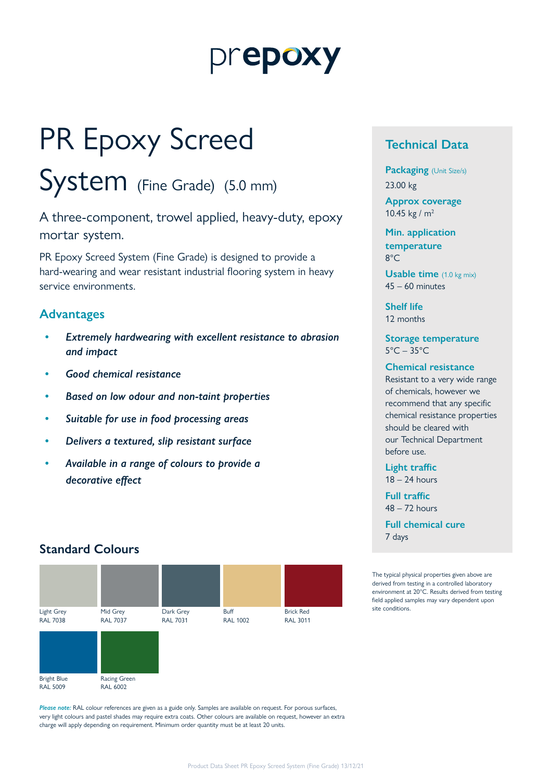# prepoxy

# PR Epoxy Screed

# System (Fine Grade) (5.0 mm)

A three-component, trowel applied, heavy-duty, epoxy mortar system.

PR Epoxy Screed System (Fine Grade) is designed to provide a hard-wearing and wear resistant industrial flooring system in heavy service environments.

### **Advantages**

- *• Extremely hardwearing with excellent resistance to abrasion and impact*
- *• Good chemical resistance*
- *• Based on low odour and non-taint properties*
- *• Suitable for use in food processing areas*
- *• Delivers a textured, slip resistant surface*
- *• Available in a range of colours to provide a decorative effect*

### **Standard Colours**



*Please note:* RAL colour references are given as a guide only. Samples are available on request. For porous surfaces, very light colours and pastel shades may require extra coats. Other colours are available on request, however an extra charge will apply depending on requirement. Minimum order quantity must be at least 20 units.

### **Technical Data**

**Packaging** (Unit Size/s) 23.00 kg

**Approx coverage** 10.45 kg / m2

**Min. application temperature** 8°C

**Usable time** (1.0 kg mix) 45 – 60 minutes

**Shelf life** 12 months

**Storage temperature**  $5^{\circ}$ C – 35 $^{\circ}$ C

#### **Chemical resistance**

Resistant to a very wide range of chemicals, however we recommend that any specific chemical resistance properties should be cleared with our Technical Department before use.

**Light traffic** 18 – 24 hours

**Full traffic**  $48 - 72$  hours

**Full chemical cure** 7 days

The typical physical properties given above are derived from testing in a controlled laboratory environment at 20°C. Results derived from testing field applied samples may vary dependent upon site conditions.